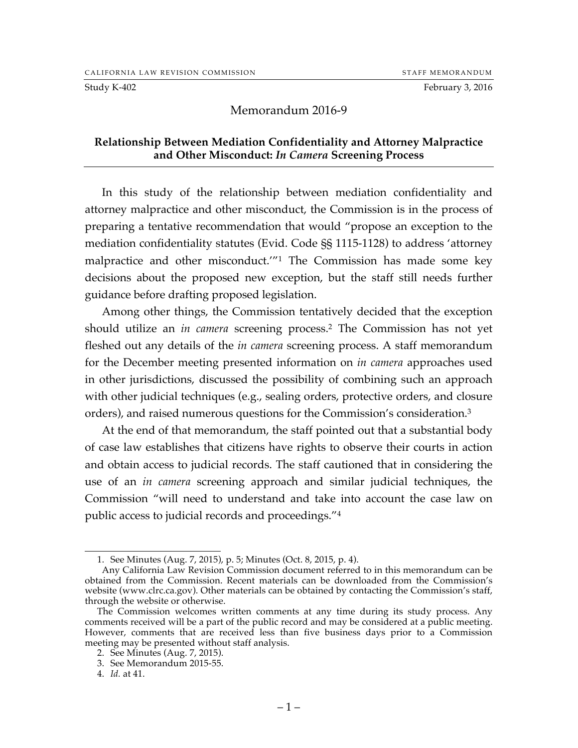Study K-402 February 3, 2016

## Memorandum 2016-9

## **Relationship Between Mediation Confidentiality and Attorney Malpractice and Other Misconduct:** *In Camera* **Screening Process**

In this study of the relationship between mediation confidentiality and attorney malpractice and other misconduct, the Commission is in the process of preparing a tentative recommendation that would "propose an exception to the mediation confidentiality statutes (Evid. Code §§ 1115-1128) to address 'attorney malpractice and other misconduct.'"1 The Commission has made some key decisions about the proposed new exception, but the staff still needs further guidance before drafting proposed legislation.

Among other things, the Commission tentatively decided that the exception should utilize an *in camera* screening process.2 The Commission has not yet fleshed out any details of the *in camera* screening process. A staff memorandum for the December meeting presented information on *in camera* approaches used in other jurisdictions, discussed the possibility of combining such an approach with other judicial techniques (e.g., sealing orders, protective orders, and closure orders), and raised numerous questions for the Commission's consideration.3

At the end of that memorandum, the staff pointed out that a substantial body of case law establishes that citizens have rights to observe their courts in action and obtain access to judicial records. The staff cautioned that in considering the use of an *in camera* screening approach and similar judicial techniques, the Commission "will need to understand and take into account the case law on public access to judicial records and proceedings."4

 <sup>1.</sup> See Minutes (Aug. 7, 2015), p. 5; Minutes (Oct. 8, 2015, p. 4).

Any California Law Revision Commission document referred to in this memorandum can be obtained from the Commission. Recent materials can be downloaded from the Commission's website (www.clrc.ca.gov). Other materials can be obtained by contacting the Commission's staff, through the website or otherwise.

The Commission welcomes written comments at any time during its study process. Any comments received will be a part of the public record and may be considered at a public meeting. However, comments that are received less than five business days prior to a Commission meeting may be presented without staff analysis.

<sup>2.</sup> See Minutes (Aug. 7, 2015).

<sup>3.</sup> See Memorandum 2015-55.

<sup>4.</sup> *Id.* at 41.